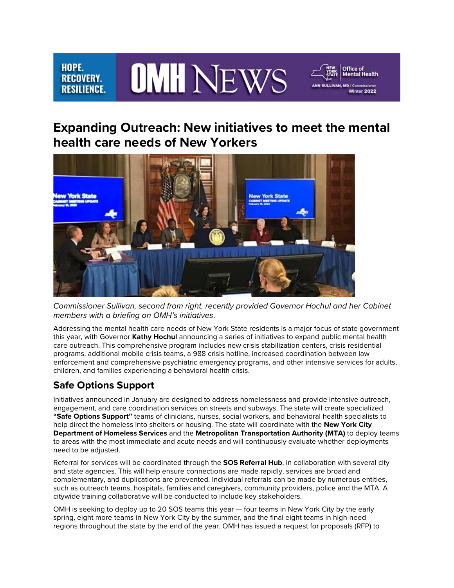#### **OMH NEWS** HOPE. **RECOVERY. RESILIENCE.**

## **Expanding Outreach: New initiatives to meet the mental health care needs of New Yorkers**

**Office of<br>Mental Health** 

Winter 2022



 *members with a briefing on OMH's initiatives*. *Commissioner Sullivan, second from right, recently provided Governor Hochul and her Cabinet* 

 Addressing the mental health care needs of New York State residents is a major focus of state government children, and families experiencing a behavioral health crisis. this year, with Governor **Kathy Hochul** announcing a series of initiatives to expand public mental health care outreach. This comprehensive program includes new crisis stabilization centers, crisis residential programs, additional mobile crisis teams, a 988 crisis hotline, increased coordination between law enforcement and comprehensive psychiatric emergency programs, and other intensive services for adults,

### **Safe Options Support**

 engagement, and care coordination services on streets and subways. The state will create specialized  help direct the homeless into shelters or housing. The state will coordinate with the **New York City Department of Homeless Services** and the **Metropolitan Transportation Authority (MTA)** to deploy teams Initiatives announced in January are designed to address homelessness and provide intensive outreach, **"Safe Options Support"** teams of clinicians, nurses, social workers, and behavioral health specialists to to areas with the most immediate and acute needs and will continuously evaluate whether deployments need to be adjusted.

 Referral for services will be coordinated through the **SOS Referral Hub**, in collaboration with several city and state agencies. This will help ensure connections are made rapidly, services are broad and complementary, and duplications are prevented. Individual referrals can be made by numerous entities, such as outreach teams, hospitals, families and caregivers, community providers, police and the MTA. A citywide training collaborative will be conducted to include key stakeholders.

 OMH is seeking to deploy up to 20 SOS teams this year — four teams in New York City by the early spring, eight more teams in New York City by the summer, and the final eight teams in high-need regions throughout the state by the end of the year. OMH has issued a request for proposals (RFP) to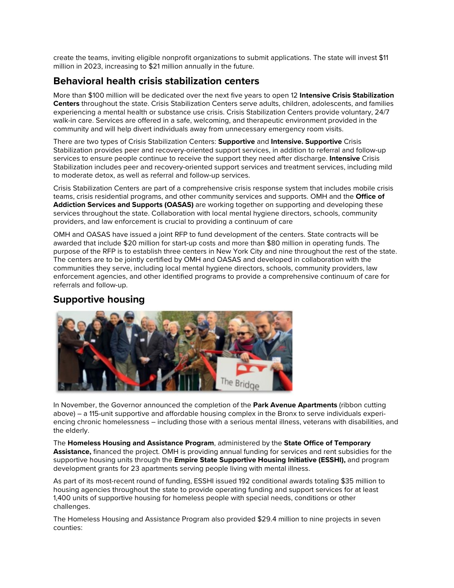million in 2023, increasing to \$21 million annually in the future. create the teams, inviting eligible nonprofit organizations to submit applications. The state will invest \$11

### **Behavioral health crisis stabilization centers**

 More than \$100 million will be dedicated over the next five years to open 12 **Intensive Crisis Stabilization**  community and will help divert individuals away from unnecessary emergency room visits. **Centers** throughout the state. Crisis Stabilization Centers serve adults, children, adolescents, and families experiencing a mental health or substance use crisis. Crisis Stabilization Centers provide voluntary, 24/7 walk-in care. Services are offered in a safe, welcoming, and therapeutic environment provided in the

There are two types of Crisis Stabilization Centers: **Supportive** and **Intensive. Supportive** Crisis Stabilization provides peer and recovery-oriented support services, in addition to referral and follow-up services to ensure people continue to receive the support they need after discharge. **Intensive** Crisis Stabilization includes peer and recovery-oriented support services and treatment services, including mild to moderate detox, as well as referral and follow-up services.

 Crisis Stabilization Centers are part of a comprehensive crisis response system that includes mobile crisis teams, crisis residential programs, and other community services and supports. OMH and the **Office of Addiction Services and Supports (OASAS)** are working together on supporting and developing these services throughout the state. Collaboration with local mental hygiene directors, schools, community providers, and law enforcement is crucial to providing a continuum of care

 OMH and OASAS have issued a joint RFP to fund development of the centers. State contracts will be awarded that include \$20 million for start-up costs and more than \$80 million in operating funds. The purpose of the RFP is to establish three centers in New York City and nine throughout the rest of the state. enforcement agencies, and other identified programs to provide a comprehensive continuum of care for The centers are to be jointly certified by OMH and OASAS and developed in collaboration with the communities they serve, including local mental hygiene directors, schools, community providers, law referrals and follow-up.

### **Supportive housing**



 In November, the Governor announced the completion of the **Park Avenue Apartments** (ribbon cutting above) – a 115-unit supportive and affordable housing complex in the Bronx to serve individuals experiencing chronic homelessness – including those with a serious mental illness, veterans with disabilities, and the elderly.

 development grants for 23 apartments serving people living with mental illness. The **Homeless Housing and Assistance Program**, administered by the **State Office of Temporary Assistance,** financed the project. OMH is providing annual funding for services and rent subsidies for the supportive housing units through the **Empire State Supportive Housing Initiative (ESSHI),** and program

 As part of its most-recent round of funding, ESSHI issued 192 conditional awards totaling \$35 million to 1,400 units of supportive housing for homeless people with special needs, conditions or other housing agencies throughout the state to provide operating funding and support services for at least challenges.

The Homeless Housing and Assistance Program also provided \$29.4 million to nine projects in seven counties: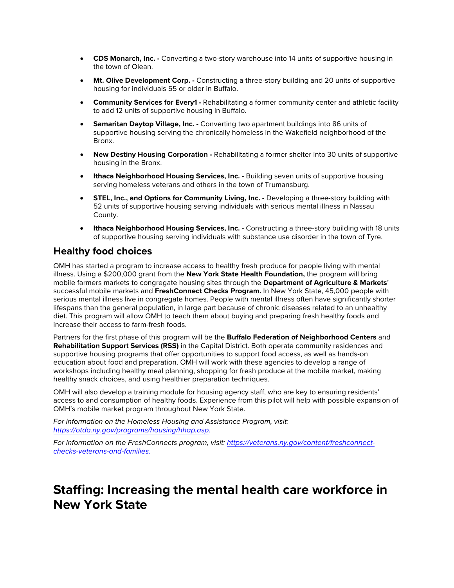- the town of Olean. • **CDS Monarch, Inc. -** Converting a two-story warehouse into 14 units of supportive housing in
- **Mt. Olive Development Corp. -** Constructing a three-story building and 20 units of supportive housing for individuals 55 or older in Buffalo.
- **Community Services for Every1 Rehabilitating a former community center and athletic facility** to add 12 units of supportive housing in Buffalo.
- **Samaritan Daytop Village, Inc. -** Converting two apartment buildings into 86 units of supportive housing serving the chronically homeless in the Wakefield neighborhood of the Bronx.
- • **New Destiny Housing Corporation -** Rehabilitating a former shelter into 30 units of supportive housing in the Bronx.
- **Ithaca Neighborhood Housing Services, Inc. Building seven units of supportive housing** serving homeless veterans and others in the town of Trumansburg.
- **STEL, Inc., and Options for Community Living, Inc. -** Developing a three-story building with 52 units of supportive housing serving individuals with serious mental illness in Nassau County.
- of supportive housing serving individuals with substance use disorder in the town of Tyre. • **Ithaca Neighborhood Housing Services, Inc. -** Constructing a three-story building with 18 units

#### **Healthy food choices**

 illness. Using a \$200,000 grant from the **New York State Health Foundation,** the program will bring  successful mobile markets and **FreshConnect Checks Program.** In New York State, 45,000 people with diet. This program will allow OMH to teach them about buying and preparing fresh healthy foods and OMH has started a program to increase access to healthy fresh produce for people living with mental mobile farmers markets to congregate housing sites through the **Department of Agriculture & Markets**' serious mental illness live in congregate homes. People with mental illness often have significantly shorter lifespans than the general population, in large part because of chronic diseases related to an unhealthy increase their access to farm-fresh foods.

 workshops including healthy meal planning, shopping for fresh produce at the mobile market, making healthy snack choices, and using healthier preparation techniques. Partners for the first phase of this program will be the **Buffalo Federation of Neighborhood Centers** and **Rehabilitation Support Services (RSS)** in the Capital District. Both operate community residences and supportive housing programs that offer opportunities to support food access, as well as hands-on education about food and preparation. OMH will work with these agencies to develop a range of

 access to and consumption of healthy foods. Experience from this pilot will help with possible expansion of OMH will also develop a training module for housing agency staff, who are key to ensuring residents' OMH's mobile market program throughout New York State.

*For information on the Homeless Housing and Assistance Program, visit: [https://otda.ny.gov/programs/housing/hhap.asp.](https://gcc02.safelinks.protection.outlook.com/?url=https%3A%2F%2Fotda.ny.gov%2Fprograms%2Fhousing%2Fhhap.asp&data=04%7C01%7CMark.Genovese%40omh.ny.gov%7C5a131803b34b4e3a9b0908d9fc95ab81%7Cf46cb8ea79004d108ceb80e8c1c81ee7%7C0%7C0%7C637818542017756674%7CUnknown%7CTWFpbGZsb3d8eyJWIjoiMC4wLjAwMDAiLCJQIjoiV2luMzIiLCJBTiI6Ik1haWwiLCJXVCI6Mn0%3D%7C3000&sdata=1nkngHrLsAPHZuJRtE7gBlUe1VH3L1YuveBPFaLBYB8%3D&reserved=0)* 

*For information on the FreshConnects program, visit: https://veterans.ny.gov/content/freshconnectchecks-veterans-and-families.* 

## **Staffing: Increasing the mental health care workforce in New York State**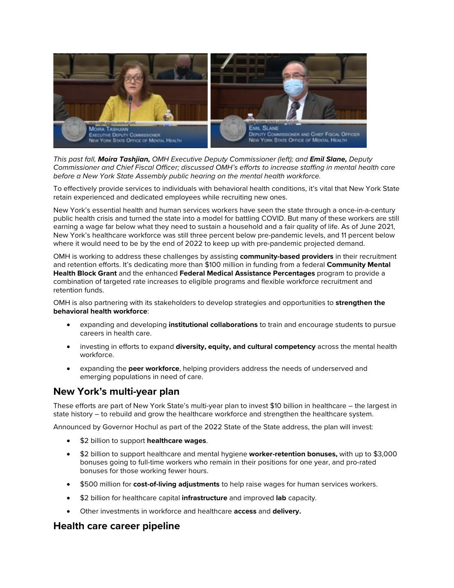

*This past fall, Moira Tashjian, OMH Executive Deputy Commissioner (left); and Emil Slane, Deputy Commissioner and Chief Fiscal Officer; discussed OMH's efforts to increase staffing in mental health care before a New York State Assembly public hearing on the mental health workforce.* 

 retain experienced and dedicated employees while recruiting new ones. To effectively provide services to individuals with behavioral health conditions, it's vital that New York State

 public health crisis and turned the state into a model for battling COVID. But many of these workers are still earning a wage far below what they need to sustain a household and a fair quality of life. As of June 2021, New York's essential health and human services workers have seen the state through a once-in-a-century New York's healthcare workforce was still three percent below pre-pandemic levels, and 11 percent below where it would need to be by the end of 2022 to keep up with pre-pandemic projected demand.

 OMH is working to address these challenges by assisting **community-based providers** in their recruitment and retention efforts. It's dedicating more than \$100 million in funding from a federal **Community Mental Health Block Grant** and the enhanced **Federal Medical Assistance Percentages** program to provide a combination of targeted rate increases to eligible programs and flexible workforce recruitment and retention funds.

OMH is also partnering with its stakeholders to develop strategies and opportunities to **strengthen the behavioral health workforce**:

- expanding and developing **institutional collaborations** to train and encourage students to pursue careers in health care.
- investing in efforts to expand **diversity, equity, and cultural competency** across the mental health workforce.
- expanding the **peer workforce**, helping providers address the needs of underserved and emerging populations in need of care.

#### **New York's multi-year plan**

These efforts are part of New York State's multi-year plan to invest \$10 billion in healthcare – the largest in state history – to rebuild and grow the healthcare workforce and strengthen the healthcare system.

Announced by Governor Hochul as part of the 2022 State of the State address, the plan will invest:

- \$2 billion to support **healthcare wages**.
- • \$2 billion to support healthcare and mental hygiene **worker-retention bonuses,** with up to \$3,000 bonuses going to full-time workers who remain in their positions for one year, and pro-rated bonuses for those working fewer hours.
- \$500 million for **cost-of-living adjustments** to help raise wages for human services workers.
- \$2 billion for healthcare capital **infrastructure** and improved **lab** capacity.
- Other investments in workforce and healthcare **access** and **delivery.**

#### **Health care career pipeline**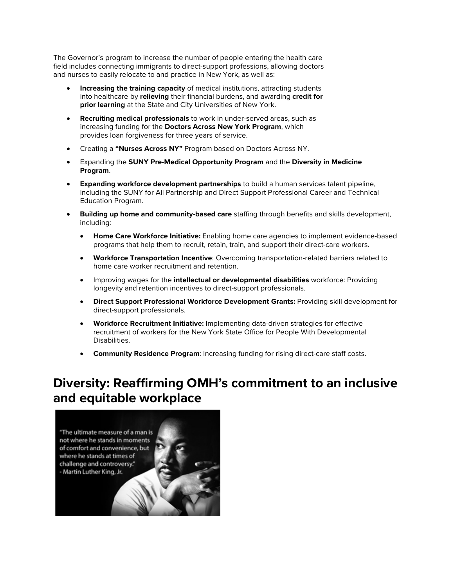The Governor's program to increase the number of people entering the health care field includes connecting immigrants to direct-support professions, allowing doctors and nurses to easily relocate to and practice in New York, as well as:

- **prior learning** at the State and City Universities of New York. • **Increasing the training capacity** of medical institutions, attracting students into healthcare by **relieving** their financial burdens, and awarding **credit for**
- provides loan forgiveness for three years of service. • **Recruiting medical professionals** to work in under-served areas, such as increasing funding for the **Doctors Across New York Program**, which
- Creating a **"Nurses Across NY"** Program based on Doctors Across NY.
- Expanding the **SUNY Pre-Medical Opportunity Program** and the **Diversity in Medicine Program**.
- • **Expanding workforce development partnerships** to build a human services talent pipeline, including the SUNY for All Partnership and Direct Support Professional Career and Technical Education Program.
- **Building up home and community-based care** staffing through benefits and skills development, including:
	- programs that help them to recruit, retain, train, and support their direct-care workers. • **Home Care Workforce Initiative:** Enabling home care agencies to implement evidence-based
	- • **Workforce Transportation Incentive**: Overcoming transportation-related barriers related to home care worker recruitment and retention.
	- Improving wages for the **intellectual or developmental disabilities** workforce: Providing longevity and retention incentives to direct-support professionals.
	- **Direct Support Professional Workforce Development Grants:** Providing skill development for direct-support professionals.
	- recruitment of workers for the New York State Office for People With Developmental • **Workforce Recruitment Initiative:** Implementing data-driven strategies for effective Disabilities.
	- **Community Residence Program**: Increasing funding for rising direct-care staff costs.

# **Diversity: Reaffirming OMH's commitment to an inclusive and equitable workplace**

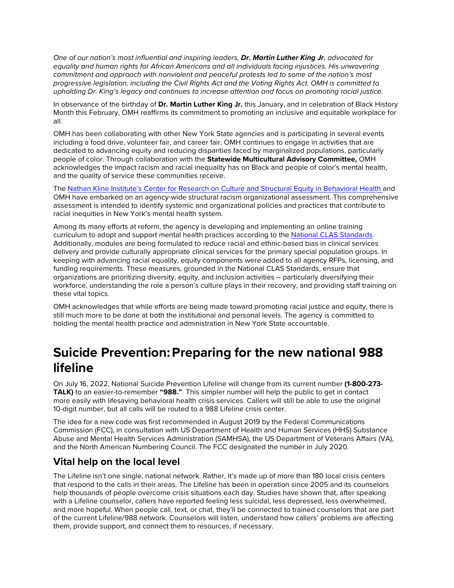*One of our nation's most influential and inspiring leaders, Dr. Martin Luther King Jr. advocated for equality and human rights for African Americans and all individuals facing injustices. His unwavering commitment and approach with nonviolent and peaceful protests led to some of the nation's most progressive legislation, including the Civil Rights Act and the Voting Rights Act. OMH is committed to upholding Dr. King's legacy and continues to increase attention and focus on promoting racial justice.* 

 Month this February, OMH reaffirms its commitment to promoting an inclusive and equitable workplace for In observance of the birthday of **Dr. Martin Luther King Jr.** this January, and in celebration of Black History all.

 including a food drive, volunteer fair, and career fair. OMH continues to engage in activities that are dedicated to advancing equity and reducing disparities faced by marginalized populations, particularly acknowledges the impact racism and racial inequality has on Black and people of color's mental health, OMH has been collaborating with other New York State agencies and is participating in several events people of color. Through collaboration with the **Statewide Multicultural Advisory Committee,** OMH and the quality of service these communities receive.

The [Nathan Kline Institute's Center for Research on Culture and Structural Equity in Behavioral Health](https://gcc02.safelinks.protection.outlook.com/?url=https%3A%2F%2Fwww.nki.rfmh.org%2Fresearch%2Fsocial-solutions-and-services-research%2Fcenter-research-cultural-structural-equity&data=04%7C01%7CMark.Genovese%40omh.ny.gov%7C5a131803b34b4e3a9b0908d9fc95ab81%7Cf46cb8ea79004d108ceb80e8c1c81ee7%7C0%7C0%7C637818542017756674%7CUnknown%7CTWFpbGZsb3d8eyJWIjoiMC4wLjAwMDAiLCJQIjoiV2luMzIiLCJBTiI6Ik1haWwiLCJXVCI6Mn0%3D%7C3000&sdata=%2Br6kfDh9og4dmfKQg%2F8hVQBd7lx6AcyJfjm6YAkW0po%3D&reserved=0) and OMH have embarked on an agency-wide structural racism organizational assessment. This comprehensive assessment is intended to identify systemic and organizational policies and practices that contribute to racial inequities in New York's mental health system.

curriculum to adopt and support mental health practices according to the [National CLAS Standards.](https://gcc02.safelinks.protection.outlook.com/?url=https%3A%2F%2Fthinkculturalhealth.hhs.gov%2Fclas&data=04%7C01%7CMark.Genovese%40omh.ny.gov%7C5a131803b34b4e3a9b0908d9fc95ab81%7Cf46cb8ea79004d108ceb80e8c1c81ee7%7C0%7C0%7C637818542017756674%7CUnknown%7CTWFpbGZsb3d8eyJWIjoiMC4wLjAwMDAiLCJQIjoiV2luMzIiLCJBTiI6Ik1haWwiLCJXVCI6Mn0%3D%7C3000&sdata=g9RjyXRvWsXPVdI3Qem2TK8G0LeYx9It37WrjkZ%2BG9Y%3D&reserved=0) workforce, understanding the role a person's culture plays in their recovery, and providing staff training on Among its many efforts at reform, the agency is developing and implementing an online training Additionally, modules are being formulated to reduce racial and ethnic-based bias in clinical services delivery and provide culturally appropriate clinical services for the primary special population groups. In keeping with advancing racial equality, equity components were added to all agency RFPs, licensing, and funding requirements. These measures, grounded in the National CLAS Standards, ensure that organizations are prioritizing diversity, equity, and inclusion activities – particularly diversifying their these vital topics.

 OMH acknowledges that while efforts are being made toward promoting racial justice and equity, there is still much more to be done at both the institutional and personal levels. The agency is committed to holding the mental health practice and administration in New York State accountable.

# **Suicide Prevention: Preparing for the new national 988 lifeline**

 On July 16, 2022, National Suicide Prevention Lifeline will change from its current number **(1-800-273-** more easily with lifesaving behavioral health crisis services. Callers will still be able to use the original **TALK)** to an easier-to-remember **"988."** This simpler number will help the public to get in contact 10-digit number, but all calls will be routed to a 988 Lifeline crisis center.

The idea for a new code was first recommended in August 2019 by the Federal Communications Commission (FCC), in consultation with US Department of Health and Human Services (HHS) Substance Abuse and Mental Health Services Administration (SAMHSA), the US Department of Veterans Affairs (VA), and the North American Numbering Council. The FCC designated the number in July 2020.

### **Vital help on the local level**

 that respond to the calls in their areas. The Lifeline has been in operation since 2005 and its counselors and more hopeful. When people call, text, or chat, they'll be connected to trained counselors that are part The Lifeline isn't one single, national network. Rather, it's made up of more than 180 local crisis centers help thousands of people overcome crisis situations each day. Studies have shown that, after speaking with a Lifeline counselor, callers have reported feeling less suicidal, less depressed, less overwhelmed, of the current Lifeline/988 network. Counselors will listen, understand how callers' problems are affecting them, provide support, and connect them to resources, if necessary.